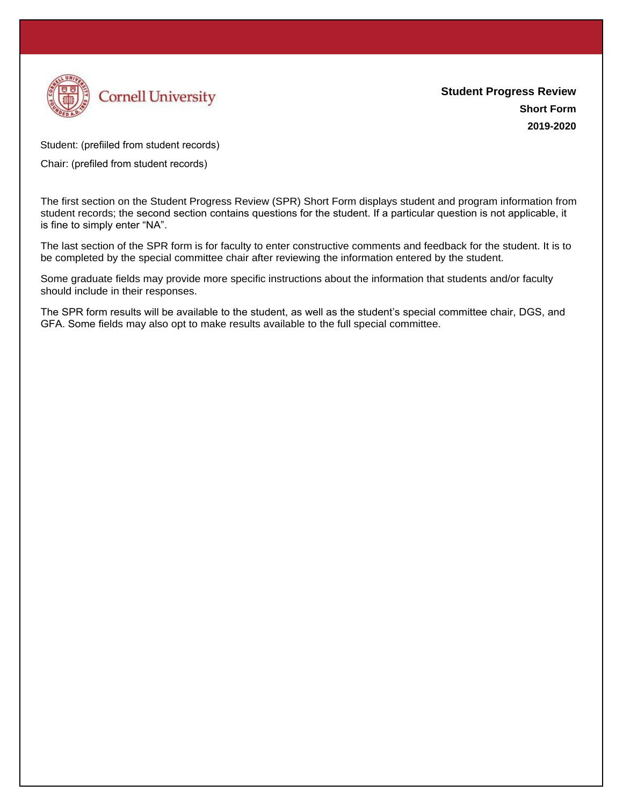

Student: (prefiiled from student records)

Chair: (prefiled from student records)

The first section on the Student Progress Review (SPR) Short Form displays student and program information from student records; the second section contains questions for the student. If a particular question is not applicable, it is fine to simply enter "NA".

The last section of the SPR form is for faculty to enter constructive comments and feedback for the student. It is to be completed by the special committee chair after reviewing the information entered by the student.

Some graduate fields may provide more specific instructions about the information that students and/or faculty should include in their responses.

The SPR form results will be available to the student, as well as the student's special committee chair, DGS, and GFA. Some fields may also opt to make results available to the full special committee.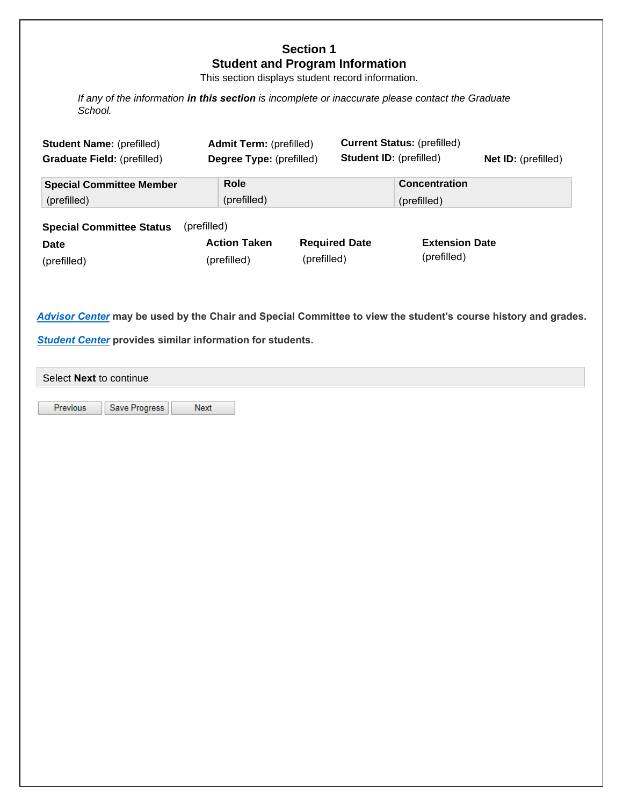# **Section 1 Student and Program Information**

This section displays student record information.

*If any of the information in this section is incomplete or inaccurate please contact the Graduate School.* 

| <b>Student Name: (prefilled)</b><br><b>Graduate Field: (prefilled)</b> | <b>Admit Term:</b> (prefilled)<br>Degree Type: (prefilled) | <b>Student ID: (prefilled)</b> | <b>Current Status: (prefilled)</b>  | <b>Net ID:</b> (prefilled) |  |  |  |
|------------------------------------------------------------------------|------------------------------------------------------------|--------------------------------|-------------------------------------|----------------------------|--|--|--|
| <b>Special Committee Member</b><br>(prefilled)                         | Role<br>(prefilled)                                        |                                | <b>Concentration</b><br>(prefilled) |                            |  |  |  |
| (prefilled)<br><b>Special Committee Status</b>                         |                                                            |                                |                                     |                            |  |  |  |
| <b>Date</b>                                                            | <b>Action Taken</b>                                        | <b>Required Date</b>           | <b>Extension Date</b>               |                            |  |  |  |
| (prefilled)                                                            | (prefilled)                                                | (prefilled)                    | (prefilled)                         |                            |  |  |  |

*Advisor Center* **may be used by the Chair and Special Committee to view the student's course history and grades.**

*Student Center* **provides similar information for students.**

Select **Next** to continue

Previous

Save Progress Next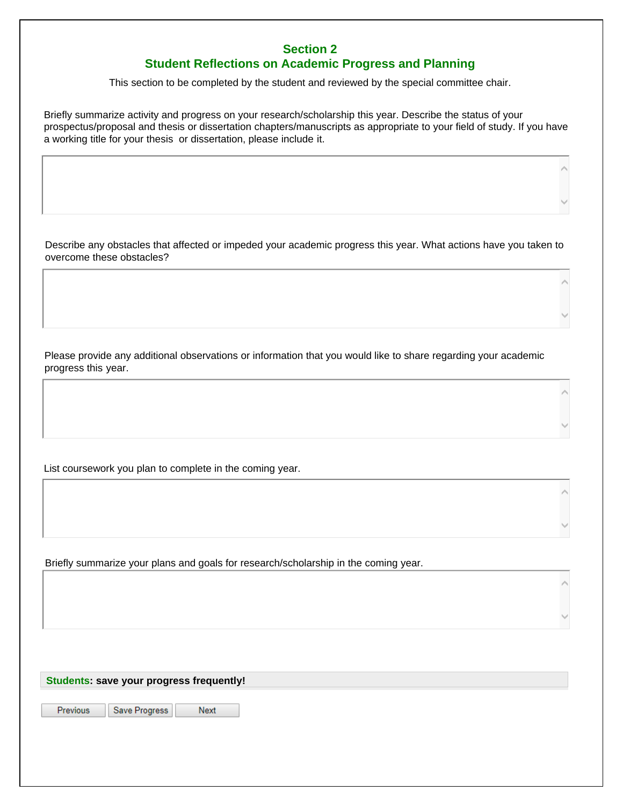## **Section 2 Student Reflections on Academic Progress and Planning**

This section to be completed by the student and reviewed by the special committee chair.

Briefly summarize activity and progress on your research/scholarship this year. Describe the status of your prospectus/proposal and thesis or dissertation chapters/manuscripts as appropriate to your field of study. If you have a working title for your thesis or dissertation, please include it.

Describe any obstacles that affected or impeded your academic progress this year. What actions have you taken to overcome these obstacles?

Please provide any additional observations or information that you would like to share regarding your academic progress this year.

List coursework you plan to complete in the coming year.

Briefly summarize your plans and goals for research/scholarship in the coming year.

**Students: save your progress frequently!** 

Previous

Save Progress Next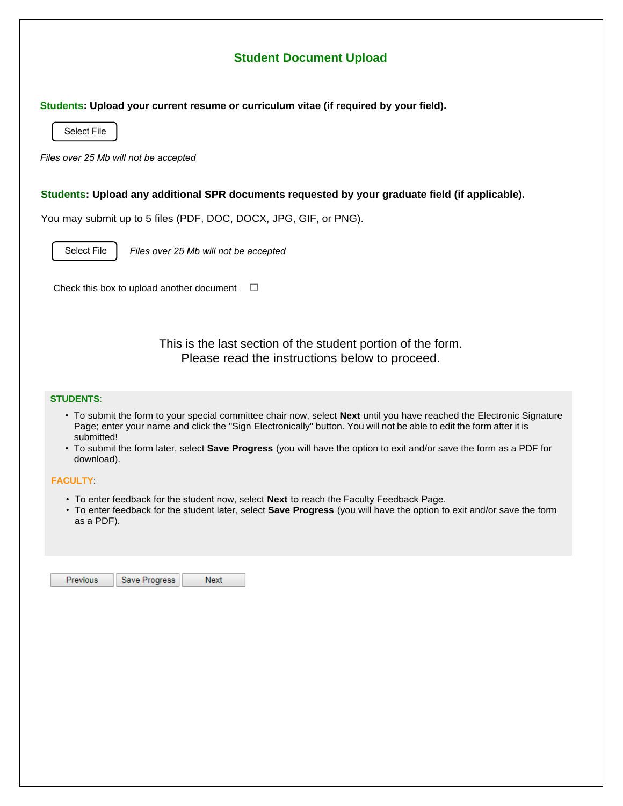# **Student Document Upload**

**Students: Upload your current resume or curriculum vitae (if required by your field).** 

Select File

*Files over 25 Mb will not be accepted*

## **Students: Upload any additional SPR documents requested by your graduate field (if applicable).**

You may submit up to 5 files (PDF, DOC, DOCX, JPG, GIF, or PNG).

Select File *Files over 25 Mb will not be accepted*

Check this box to upload another document  $\square$ 

This is the last section of the student portion of the form. Please read the instructions below to proceed.

## **STUDENTS**:

- To submit the form to your special committee chair now, select **Next** until you have reached the Electronic Signature Page; enter your name and click the "Sign Electronically" button. You will not be able to edit the form after it is submitted!
- To submit the form later, select **Save Progress** (you will have the option to exit and/or save the form as a PDF for download).

## **FACULTY**:

- To enter feedback for the student now, select **Next** to reach the Faculty Feedback Page.
- To enter feedback for the student later, select **Save Progress** (you will have the option to exit and/or save the form as a PDF).

| Save Progress<br><b>Previous</b> | Next |  |
|----------------------------------|------|--|
|----------------------------------|------|--|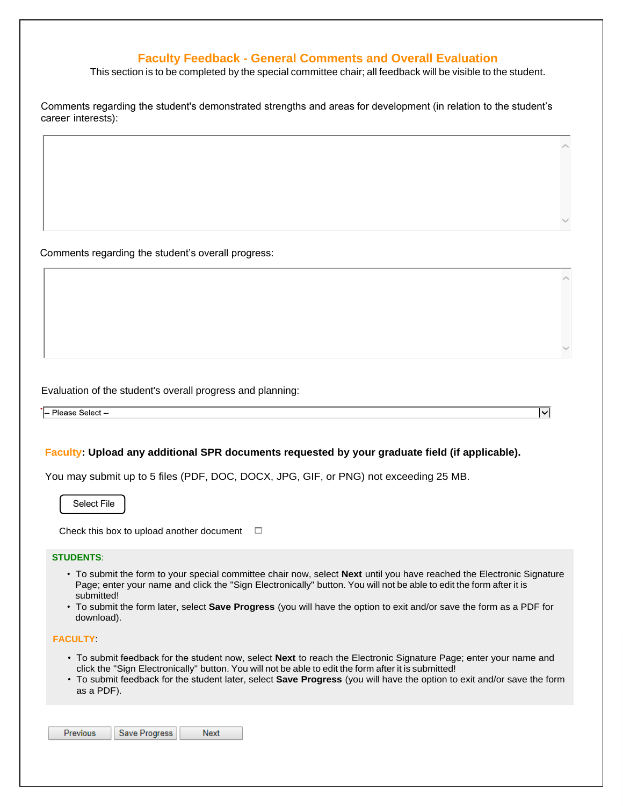## **Faculty Feedback - General Comments and Overall Evaluation**

This section is to be completed by the special committee chair; all feedback will be visible to the student.

Comments regarding the student's demonstrated strengths and areas for development (in relation to the student's career interests):

Comments regarding the student's overall progress:

Evaluation of the student's overall progress and planning:

-- Please Select<sup>-</sup>

## **Faculty: Upload any additional SPR documents requested by your graduate field (if applicable).**

You may submit up to 5 files (PDF, DOC, DOCX, JPG, GIF, or PNG) not exceeding 25 MB.

Select File

Check this box to upload another document  $\square$ 

#### **STUDENTS**:

• To submit the form to your special committee chair now, select **Next** until you have reached the Electronic Signature Page; enter your name and click the "Sign Electronically" button. You will not be able to edit the form after it is submitted!

 $\overline{\lvert{\mathbf{v}}\rvert}$ 

• To submit the form later, select **Save Progress** (you will have the option to exit and/or save the form as a PDF for download).

#### **FACULTY**:

- To submit feedback for the student now, select **Next** to reach the Electronic Signature Page; enter your name and click the "Sign Electronically" button. You will not be able to edit the form after it is submitted!
- To submit feedback for the student later, select **Save Progress** (you will have the option to exit and/or save the form as a PDF).

| <b>Previous</b> | Save Progress | Next |
|-----------------|---------------|------|
|-----------------|---------------|------|